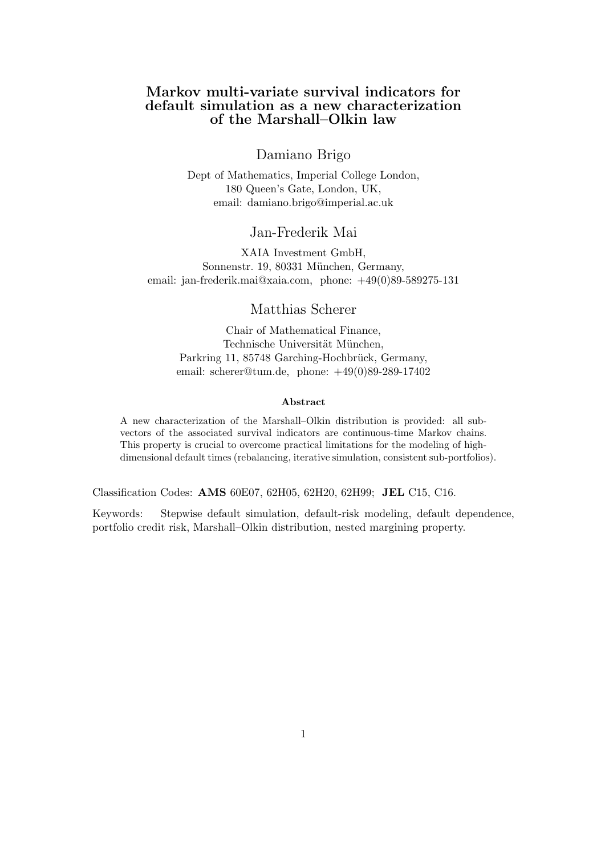# Markov multi-variate survival indicators for default simulation as a new characterization of the Marshall–Olkin law

# Damiano Brigo

Dept of Mathematics, Imperial College London, 180 Queen's Gate, London, UK, email: damiano.brigo@imperial.ac.uk

# Jan-Frederik Mai

XAIA Investment GmbH, Sonnenstr. 19, 80331 München, Germany, email: jan-frederik.mai@xaia.com, phone: +49(0)89-589275-131

# Matthias Scherer

Chair of Mathematical Finance, Technische Universität München, Parkring 11, 85748 Garching-Hochbrück, Germany, email: scherer@tum.de, phone: +49(0)89-289-17402

#### Abstract

A new characterization of the Marshall–Olkin distribution is provided: all subvectors of the associated survival indicators are continuous-time Markov chains. This property is crucial to overcome practical limitations for the modeling of highdimensional default times (rebalancing, iterative simulation, consistent sub-portfolios).

Classification Codes: AMS 60E07, 62H05, 62H20, 62H99; JEL C15, C16.

Keywords: Stepwise default simulation, default-risk modeling, default dependence, portfolio credit risk, Marshall–Olkin distribution, nested margining property.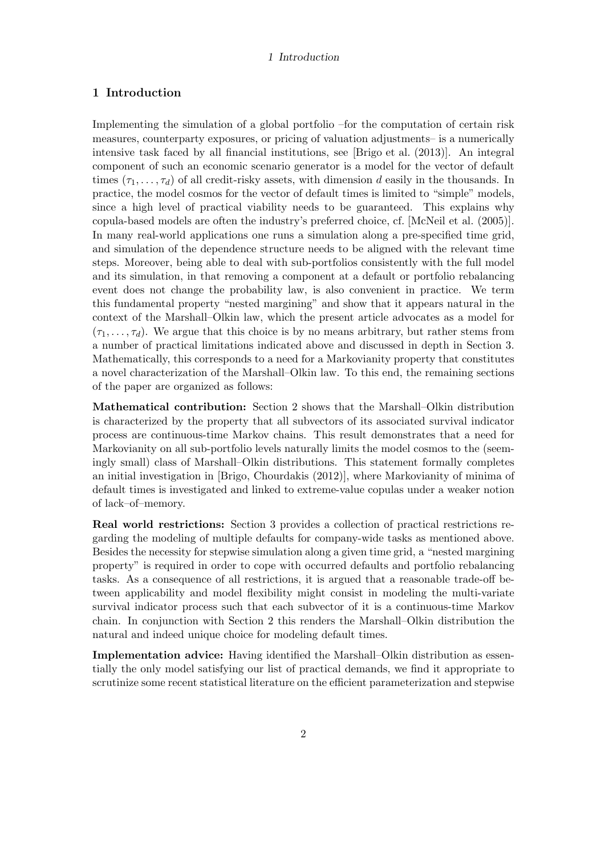# 1 Introduction

Implementing the simulation of a global portfolio –for the computation of certain risk measures, counterparty exposures, or pricing of valuation adjustments– is a numerically intensive task faced by all financial institutions, see [\[Brigo et al. \(2013\)\]](#page-10-0). An integral component of such an economic scenario generator is a model for the vector of default times  $(\tau_1, \ldots, \tau_d)$  of all credit-risky assets, with dimension d easily in the thousands. In practice, the model cosmos for the vector of default times is limited to "simple" models, since a high level of practical viability needs to be guaranteed. This explains why copula-based models are often the industry's preferred choice, cf. [\[McNeil et al. \(2005\)\]](#page-11-0). In many real-world applications one runs a simulation along a pre-specified time grid, and simulation of the dependence structure needs to be aligned with the relevant time steps. Moreover, being able to deal with sub-portfolios consistently with the full model and its simulation, in that removing a component at a default or portfolio rebalancing event does not change the probability law, is also convenient in practice. We term this fundamental property "nested margining" and show that it appears natural in the context of the Marshall–Olkin law, which the present article advocates as a model for  $(\tau_1, \ldots, \tau_d)$ . We argue that this choice is by no means arbitrary, but rather stems from a number of practical limitations indicated above and discussed in depth in Section [3.](#page-4-0) Mathematically, this corresponds to a need for a Markovianity property that constitutes a novel characterization of the Marshall–Olkin law. To this end, the remaining sections of the paper are organized as follows:

Mathematical contribution: Section [2](#page-2-0) shows that the Marshall–Olkin distribution is characterized by the property that all subvectors of its associated survival indicator process are continuous-time Markov chains. This result demonstrates that a need for Markovianity on all sub-portfolio levels naturally limits the model cosmos to the (seemingly small) class of Marshall–Olkin distributions. This statement formally completes an initial investigation in [\[Brigo, Chourdakis \(2012\)\]](#page-10-1), where Markovianity of minima of default times is investigated and linked to extreme-value copulas under a weaker notion of lack–of–memory.

Real world restrictions: Section [3](#page-4-0) provides a collection of practical restrictions regarding the modeling of multiple defaults for company-wide tasks as mentioned above. Besides the necessity for stepwise simulation along a given time grid, a "nested margining property" is required in order to cope with occurred defaults and portfolio rebalancing tasks. As a consequence of all restrictions, it is argued that a reasonable trade-off between applicability and model flexibility might consist in modeling the multi-variate survival indicator process such that each subvector of it is a continuous-time Markov chain. In conjunction with Section [2](#page-2-0) this renders the Marshall–Olkin distribution the natural and indeed unique choice for modeling default times.

Implementation advice: Having identified the Marshall–Olkin distribution as essentially the only model satisfying our list of practical demands, we find it appropriate to scrutinize some recent statistical literature on the efficient parameterization and stepwise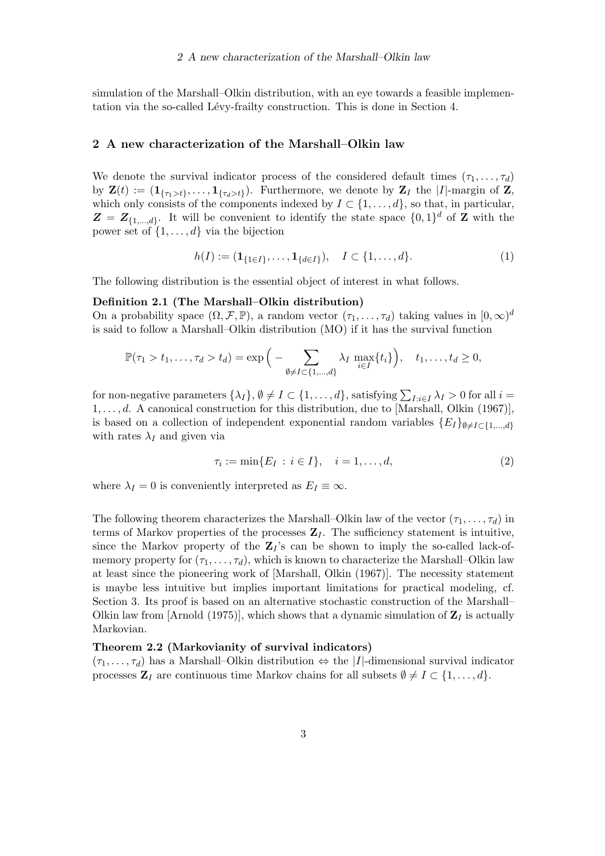simulation of the Marshall–Olkin distribution, with an eye towards a feasible implemen-tation via the so-called Lévy-frailty construction. This is done in Section [4.](#page-7-0)

## <span id="page-2-0"></span>2 A new characterization of the Marshall–Olkin law

We denote the survival indicator process of the considered default times  $(\tau_1, \ldots, \tau_d)$ by  $\mathbf{Z}(t) := (\mathbf{1}_{\{\tau_1 > t\}}, \dots, \mathbf{1}_{\{\tau_d > t\}})$ . Furthermore, we denote by  $\mathbf{Z}_I$  the  $|I|$ -margin of  $\mathbf{Z}$ , which only consists of the components indexed by  $I \subset \{1, \ldots, d\}$ , so that, in particular,  $\mathbf{Z} = \mathbf{Z}_{\{1,\ldots,d\}}$ . It will be convenient to identify the state space  $\{0,1\}^d$  of  $\mathbf{Z}$  with the power set of  $\{1, \ldots, d\}$  via the bijection

$$
h(I) := (\mathbf{1}_{\{1 \in I\}}, \dots, \mathbf{1}_{\{d \in I\}}), \quad I \subset \{1, \dots, d\}.
$$
 (1)

The following distribution is the essential object of interest in what follows.

### Definition 2.1 (The Marshall–Olkin distribution)

On a probability space  $(\Omega, \mathcal{F}, \mathbb{P})$ , a random vector  $(\tau_1, \ldots, \tau_d)$  taking values in  $[0, \infty)^d$ is said to follow a Marshall–Olkin distribution (MO) if it has the survival function

$$
\mathbb{P}(\tau_1 > t_1, \ldots, \tau_d > t_d) = \exp\Big(-\sum_{\emptyset \neq I \subset \{1, \ldots, d\}} \lambda_I \max_{i \in I} \{t_i\}\Big), \quad t_1, \ldots, t_d \geq 0,
$$

for non-negative parameters  $\{\lambda_I\}$ ,  $\emptyset \neq I \subset \{1, \ldots, d\}$ , satisfying  $\sum_{I:i \in I} \lambda_I > 0$  for all  $i =$  $1, \ldots, d$ . A canonical construction for this distribution, due to [\[Marshall, Olkin \(1967\)\]](#page-11-1), is based on a collection of independent exponential random variables  ${E_I}_{\theta \neq I \subset \{1,\ldots,d\}}$ with rates  $\lambda_I$  and given via

<span id="page-2-2"></span>
$$
\tau_i := \min\{E_I : i \in I\}, \quad i = 1, \dots, d,\tag{2}
$$

where  $\lambda_I = 0$  is conveniently interpreted as  $E_I \equiv \infty$ .

The following theorem characterizes the Marshall–Olkin law of the vector  $(\tau_1, \ldots, \tau_d)$  in terms of Markov properties of the processes  $\mathbf{Z}_I$ . The sufficiency statement is intuitive, since the Markov property of the  $\mathbb{Z}_I$ 's can be shown to imply the so-called lack-ofmemory property for  $(\tau_1, \ldots, \tau_d)$ , which is known to characterize the Marshall–Olkin law at least since the pioneering work of [\[Marshall, Olkin \(1967\)\]](#page-11-1). The necessity statement is maybe less intuitive but implies important limitations for practical modeling, cf. Section [3.](#page-4-0) Its proof is based on an alternative stochastic construction of the Marshall– Olkin law from [\[Arnold \(1975\)\]](#page-10-2), which shows that a dynamic simulation of  $\mathbf{Z}_I$  is actually Markovian.

### <span id="page-2-1"></span>Theorem 2.2 (Markovianity of survival indicators)

 $(\tau_1, \ldots, \tau_d)$  has a Marshall–Olkin distribution  $\Leftrightarrow$  the |*I*|-dimensional survival indicator processes  $\mathbf{Z}_I$  are continuous time Markov chains for all subsets  $\emptyset \neq I \subset \{1, \ldots, d\}$ .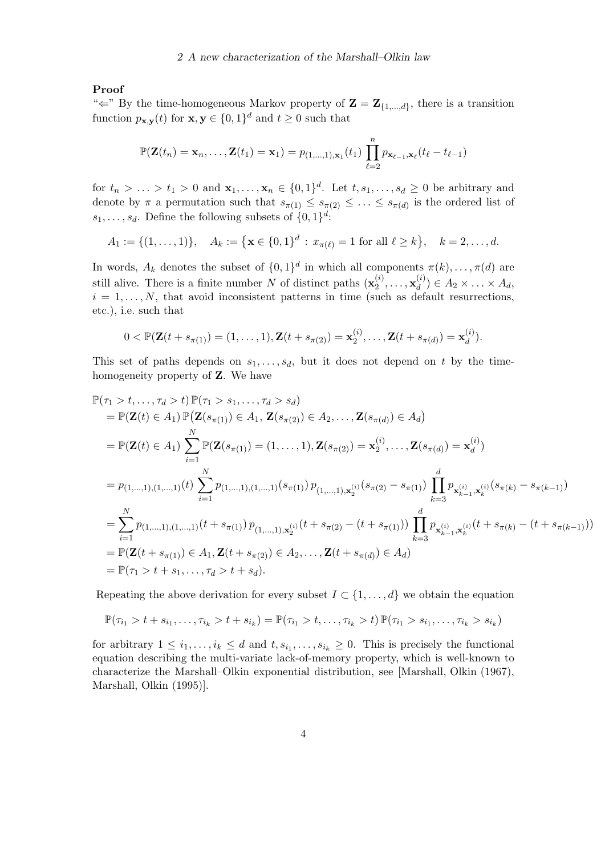# Proof

" $\Leftarrow$ " By the time-homogeneous Markov property of  $\mathbf{Z} = \mathbf{Z}_{\{1,\dots,d\}}$ , there is a transition function  $p_{\mathbf{x},\mathbf{y}}(t)$  for  $\mathbf{x},\mathbf{y} \in \{0,1\}^d$  and  $t \geq 0$  such that

$$
\mathbb{P}(\mathbf{Z}(t_n) = \mathbf{x}_n, \dots, \mathbf{Z}(t_1) = \mathbf{x}_1) = p_{(1,\dots,1),\mathbf{x}_1}(t_1) \prod_{\ell=2}^n p_{\mathbf{x}_{\ell-1},\mathbf{x}_{\ell}}(t_{\ell} - t_{\ell-1})
$$

for  $t_n > \ldots > t_1 > 0$  and  $\mathbf{x}_1, \ldots, \mathbf{x}_n \in \{0,1\}^d$ . Let  $t, s_1, \ldots, s_d \geq 0$  be arbitrary and denote by  $\pi$  a permutation such that  $s_{\pi(1)} \leq s_{\pi(2)} \leq \ldots \leq s_{\pi(d)}$  is the ordered list of  $s_1, \ldots, s_d$ . Define the following subsets of  $\{0, 1\}^d$ :

$$
A_1 := \{(1, \ldots, 1)\}, \quad A_k := \left\{ \mathbf{x} \in \{0, 1\}^d : x_{\pi(\ell)} = 1 \text{ for all } \ell \geq k \right\}, \quad k = 2, \ldots, d.
$$

In words,  $A_k$  denotes the subset of  $\{0,1\}^d$  in which all components  $\pi(k), \ldots, \pi(d)$  are still alive. There is a finite number N of distinct paths  $(\mathbf{x}_2^{(i)})$  $\mathbf{x}_2^{(i)},\ldots,\mathbf{x}_d^{(i)}$  $\binom{u}{d} \in A_2 \times \ldots \times A_d,$  $i = 1, \ldots, N$ , that avoid inconsistent patterns in time (such as default resurrections, etc.), i.e. such that

$$
0 < \mathbb{P}(\mathbf{Z}(t+s_{\pi(1)}) = (1,\ldots,1), \mathbf{Z}(t+s_{\pi(2)}) = \mathbf{x}_2^{(i)},\ldots, \mathbf{Z}(t+s_{\pi(d)}) = \mathbf{x}_d^{(i)}).
$$

This set of paths depends on  $s_1, \ldots, s_d$ , but it does not depend on t by the timehomogeneity property of Z. We have

$$
\mathbb{P}(\tau_1 > t, \ldots, \tau_d > t) \mathbb{P}(\tau_1 > s_1, \ldots, \tau_d > s_d)
$$
\n
$$
= \mathbb{P}(\mathbf{Z}(t) \in A_1) \mathbb{P}(\mathbf{Z}(s_{\pi(1)}) \in A_1, \mathbf{Z}(s_{\pi(2)}) \in A_2, \ldots, \mathbf{Z}(s_{\pi(d)}) \in A_d)
$$
\n
$$
= \mathbb{P}(\mathbf{Z}(t) \in A_1) \sum_{i=1}^N \mathbb{P}(\mathbf{Z}(s_{\pi(1)}) = (1, \ldots, 1), \mathbf{Z}(s_{\pi(2)}) = \mathbf{x}_2^{(i)}, \ldots, \mathbf{Z}(s_{\pi(d)}) = \mathbf{x}_d^{(i)})
$$
\n
$$
= p_{(1, \ldots, 1), (1, \ldots, 1)}(t) \sum_{i=1}^N p_{(1, \ldots, 1), (1, \ldots, 1)}(s_{\pi(1)}) p_{(1, \ldots, 1), \mathbf{x}_2^{(i)}}(s_{\pi(2)} - s_{\pi(1)}) \prod_{k=3}^d p_{\mathbf{x}_{k-1}^{(i)}, \mathbf{x}_k^{(i)}}(s_{\pi(k)} - s_{\pi(k-1)})
$$
\n
$$
= \sum_{i=1}^N p_{(1, \ldots, 1), (1, \ldots, 1)}(t + s_{\pi(1)}) p_{(1, \ldots, 1), \mathbf{x}_2^{(i)}}(t + s_{\pi(2)} - (t + s_{\pi(1)})) \prod_{k=3}^d p_{\mathbf{x}_{k-1}^{(i)}, \mathbf{x}_k^{(i)}}(t + s_{\pi(k)} - (t + s_{\pi(k-1)}))
$$
\n
$$
= \mathbb{P}(\mathbf{Z}(t + s_{\pi(1)}) \in A_1, \mathbf{Z}(t + s_{\pi(2)}) \in A_2, \ldots, \mathbf{Z}(t + s_{\pi(d)}) \in A_d)
$$
\n
$$
= \mathbb{P}(\tau_1 > t + s_1, \ldots, \tau_d > t + s_d).
$$

Repeating the above derivation for every subset  $I \subset \{1, \ldots, d\}$  we obtain the equation

$$
\mathbb{P}(\tau_{i_1} > t + s_{i_1}, \dots, \tau_{i_k} > t + s_{i_k}) = \mathbb{P}(\tau_{i_1} > t, \dots, \tau_{i_k} > t) \mathbb{P}(\tau_{i_1} > s_{i_1}, \dots, \tau_{i_k} > s_{i_k})
$$

for arbitrary  $1 \leq i_1, \ldots, i_k \leq d$  and  $t, s_{i_1}, \ldots, s_{i_k} \geq 0$ . This is precisely the functional equation describing the multi-variate lack-of-memory property, which is well-known to characterize the Marshall–Olkin exponential distribution, see [\[Marshall, Olkin \(1967\),](#page-11-1) [Marshall, Olkin \(1995\)\]](#page-11-2).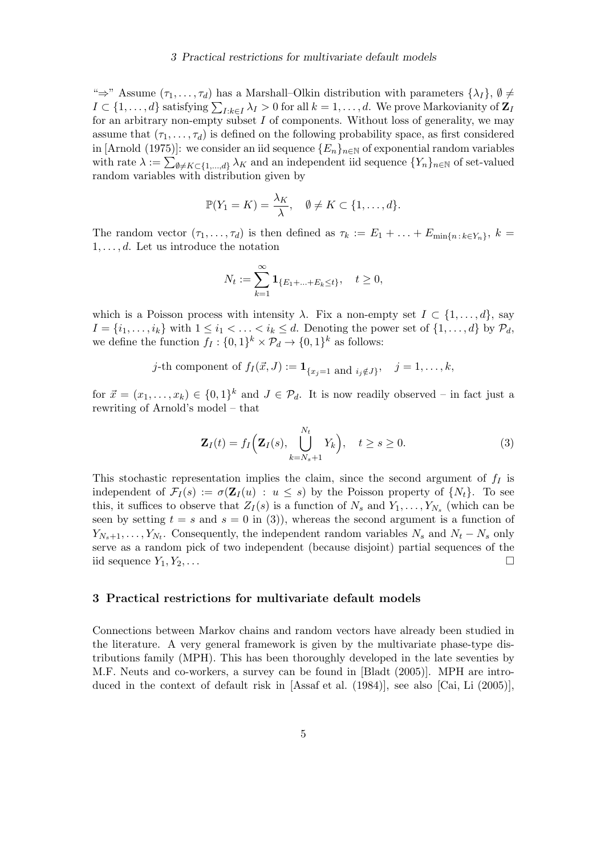## 3 Practical restrictions for multivariate default models

" $\Rightarrow$ " Assume  $(\tau_1,\ldots,\tau_d)$  has a Marshall–Olkin distribution with parameters  $\{\lambda_I\},\emptyset\neq\emptyset$  $I\subset\{1,\ldots,d\}$  satisfying  $\sum_{I:k\in I}\lambda_I>0$  for all  $k=1,\ldots,d.$  We prove Markovianity of  $\mathbf{Z}_I$ for an arbitrary non-empty subset  $I$  of components. Without loss of generality, we may assume that  $(\tau_1, \ldots, \tau_d)$  is defined on the following probability space, as first considered in [\[Arnold \(1975\)\]](#page-10-2): we consider an iid sequence  ${E_n}_{n\in\mathbb{N}}$  of exponential random variables with rate  $\lambda := \sum_{\emptyset \neq K \subset \{1,\dots,d\}} \lambda_K$  and an independent iid sequence  $\{Y_n\}_{n \in \mathbb{N}}$  of set-valued random variables with distribution given by

$$
\mathbb{P}(Y_1 = K) = \frac{\lambda_K}{\lambda}, \quad \emptyset \neq K \subset \{1, \ldots, d\}.
$$

The random vector  $(\tau_1, \ldots, \tau_d)$  is then defined as  $\tau_k := E_1 + \ldots + E_{\min\{n : k \in Y_n\}}, k =$  $1, \ldots, d$ . Let us introduce the notation

$$
N_t := \sum_{k=1}^{\infty} \mathbf{1}_{\{E_1 + \ldots + E_k \le t\}}, \quad t \ge 0,
$$

which is a Poisson process with intensity  $\lambda$ . Fix a non-empty set  $I \subset \{1, \ldots, d\}$ , say  $I = \{i_1, \ldots, i_k\}$  with  $1 \leq i_1 < \ldots < i_k \leq d$ . Denoting the power set of  $\{1, \ldots, d\}$  by  $\mathcal{P}_d$ , we define the function  $f_I: \{0,1\}^k \times \mathcal{P}_d \to \{0,1\}^k$  as follows:

$$
j\text{-th component of } f_I(\vec{x},J) := \mathbf{1}_{\{x_j=1 \text{ and } i_j \notin J\}}, \quad j=1,\ldots,k,
$$

for  $\vec{x} = (x_1, \ldots, x_k) \in \{0,1\}^k$  and  $J \in \mathcal{P}_d$ . It is now readily observed – in fact just a rewriting of Arnold's model – that

<span id="page-4-1"></span>
$$
\mathbf{Z}_I(t) = f_I\Big(\mathbf{Z}_I(s), \bigcup_{k=N_s+1}^{N_t} Y_k\Big), \quad t \ge s \ge 0.
$$
 (3)

This stochastic representation implies the claim, since the second argument of  $f_I$  is independent of  $\mathcal{F}_I(s) := \sigma(\mathbf{Z}_I(u) : u \leq s)$  by the Poisson property of  $\{N_t\}$ . To see this, it suffices to observe that  $Z_I(s)$  is a function of  $N_s$  and  $Y_1, \ldots, Y_{N_s}$  (which can be seen by setting  $t = s$  and  $s = 0$  in [\(3\)](#page-4-1)), whereas the second argument is a function of  $Y_{N_s+1}, \ldots, Y_{N_t}$ . Consequently, the independent random variables  $N_s$  and  $N_t - N_s$  only serve as a random pick of two independent (because disjoint) partial sequences of the iid sequence  $Y_1, Y_2, \ldots$ 

### <span id="page-4-0"></span>3 Practical restrictions for multivariate default models

Connections between Markov chains and random vectors have already been studied in the literature. A very general framework is given by the multivariate phase-type distributions family (MPH). This has been thoroughly developed in the late seventies by M.F. Neuts and co-workers, a survey can be found in [\[Bladt \(2005\)\]](#page-10-3). MPH are introduced in the context of default risk in [\[Assaf et al. \(1984\)\]](#page-10-4), see also [\[Cai, Li \(2005\)\]](#page-10-5),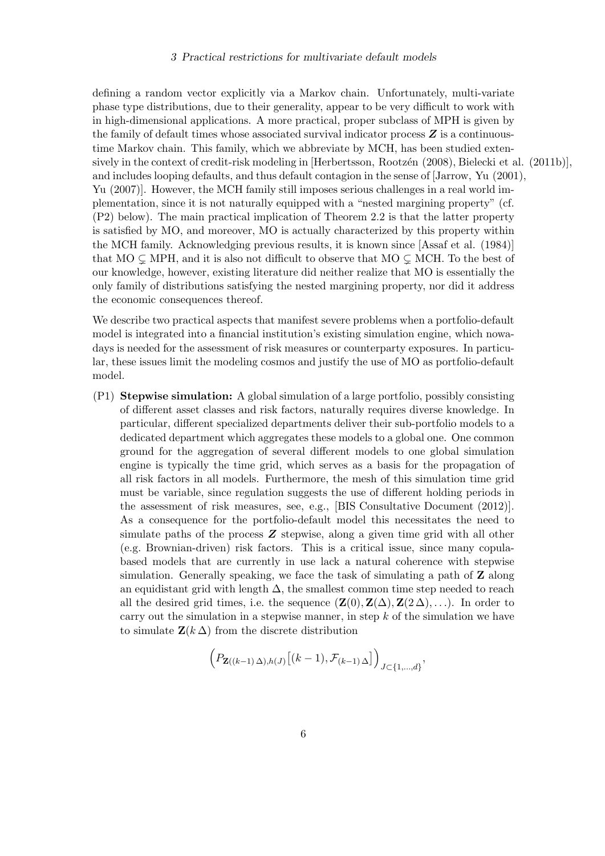## 3 Practical restrictions for multivariate default models

defining a random vector explicitly via a Markov chain. Unfortunately, multi-variate phase type distributions, due to their generality, appear to be very difficult to work with in high-dimensional applications. A more practical, proper subclass of MPH is given by the family of default times whose associated survival indicator process  $Z$  is a continuoustime Markov chain. This family, which we abbreviate by MCH, has been studied exten-sively in the context of credit-risk modeling in [Herbertsson, Rootzen (2008), [Bielecki et al. \(2011b\)\]](#page-10-6), and includes looping defaults, and thus default contagion in the sense of [\[Jarrow, Yu \(2001\),](#page-11-4) [Yu \(2007\)\]](#page-11-5). However, the MCH family still imposes serious challenges in a real world implementation, since it is not naturally equipped with a "nested margining property" (cf. (P2) below). The main practical implication of Theorem [2.2](#page-2-1) is that the latter property is satisfied by MO, and moreover, MO is actually characterized by this property within the MCH family. Acknowledging previous results, it is known since [\[Assaf et al. \(1984\)\]](#page-10-4) that  $MO \subsetneq MPH$ , and it is also not difficult to observe that  $MO \subsetneq MCH$ . To the best of our knowledge, however, existing literature did neither realize that MO is essentially the only family of distributions satisfying the nested margining property, nor did it address the economic consequences thereof.

We describe two practical aspects that manifest severe problems when a portfolio-default model is integrated into a financial institution's existing simulation engine, which nowadays is needed for the assessment of risk measures or counterparty exposures. In particular, these issues limit the modeling cosmos and justify the use of MO as portfolio-default model.

(P1) Stepwise simulation: A global simulation of a large portfolio, possibly consisting of different asset classes and risk factors, naturally requires diverse knowledge. In particular, different specialized departments deliver their sub-portfolio models to a dedicated department which aggregates these models to a global one. One common ground for the aggregation of several different models to one global simulation engine is typically the time grid, which serves as a basis for the propagation of all risk factors in all models. Furthermore, the mesh of this simulation time grid must be variable, since regulation suggests the use of different holding periods in the assessment of risk measures, see, e.g., [\[BIS Consultative Document \(2012\)\]](#page-10-7). As a consequence for the portfolio-default model this necessitates the need to simulate paths of the process Z stepwise, along a given time grid with all other (e.g. Brownian-driven) risk factors. This is a critical issue, since many copulabased models that are currently in use lack a natural coherence with stepwise simulation. Generally speaking, we face the task of simulating a path of Z along an equidistant grid with length  $\Delta$ , the smallest common time step needed to reach all the desired grid times, i.e. the sequence  $(\mathbf{Z}(0), \mathbf{Z}(\Delta), \mathbf{Z}(2\Delta), \ldots)$ . In order to carry out the simulation in a stepwise manner, in step  $k$  of the simulation we have to simulate  $\mathbf{Z}(k \Delta)$  from the discrete distribution

$$
\left(P_{\mathbf{Z}((k-1)\,\Delta),h(J)}\big[(k-1),\mathcal{F}_{(k-1)\,\Delta}\big]\right)_{J\subset\{1,\dots,d\}},
$$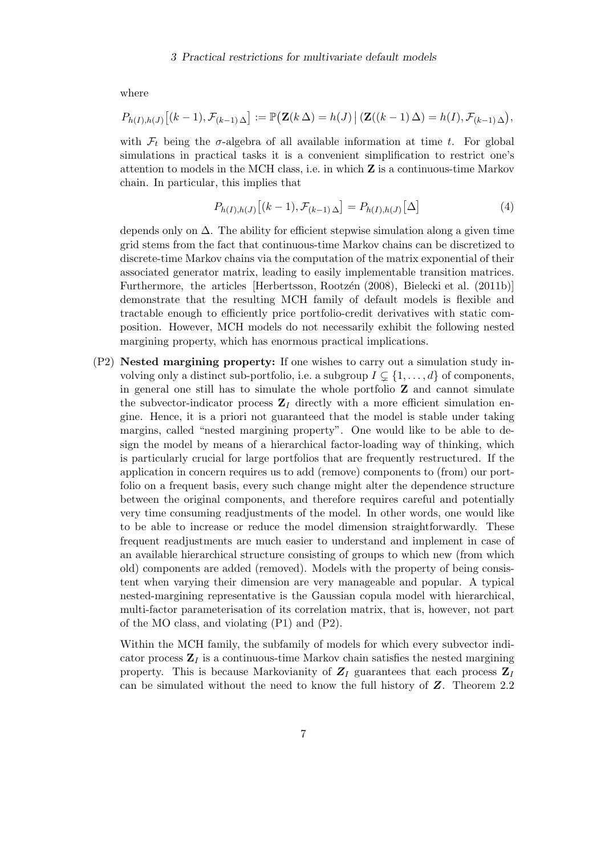where

$$
P_{h(I),h(J)}\big[(k-1),\mathcal{F}_{(k-1)\Delta}\big]:=\mathbb{P}\big(\mathbf{Z}(k\,\Delta)=h(J)\,\big|\,(\mathbf{Z}((k-1)\,\Delta)=h(I),\mathcal{F}_{(k-1)\,\Delta}\big),
$$

with  $\mathcal{F}_t$  being the  $\sigma$ -algebra of all available information at time t. For global simulations in practical tasks it is a convenient simplification to restrict one's attention to models in the MCH class, i.e. in which Z is a continuous-time Markov chain. In particular, this implies that

$$
P_{h(I),h(J)}\big[(k-1),\mathcal{F}_{(k-1)\,\Delta}\big] = P_{h(I),h(J)}\big[\Delta\big]
$$
\n<sup>(4)</sup>

depends only on  $\Delta$ . The ability for efficient stepwise simulation along a given time grid stems from the fact that continuous-time Markov chains can be discretized to discrete-time Markov chains via the computation of the matrix exponential of their associated generator matrix, leading to easily implementable transition matrices. Furthermore, the articles [Herbertsson, Rootzén (2008), [Bielecki et al. \(2011b\)\]](#page-10-6) demonstrate that the resulting MCH family of default models is flexible and tractable enough to efficiently price portfolio-credit derivatives with static composition. However, MCH models do not necessarily exhibit the following nested margining property, which has enormous practical implications.

(P2) Nested margining property: If one wishes to carry out a simulation study involving only a distinct sub-portfolio, i.e. a subgroup  $I \subseteq \{1, \ldots, d\}$  of components, in general one still has to simulate the whole portfolio Z and cannot simulate the subvector-indicator process  $\mathbb{Z}_I$  directly with a more efficient simulation engine. Hence, it is a priori not guaranteed that the model is stable under taking margins, called "nested margining property". One would like to be able to design the model by means of a hierarchical factor-loading way of thinking, which is particularly crucial for large portfolios that are frequently restructured. If the application in concern requires us to add (remove) components to (from) our portfolio on a frequent basis, every such change might alter the dependence structure between the original components, and therefore requires careful and potentially very time consuming readjustments of the model. In other words, one would like to be able to increase or reduce the model dimension straightforwardly. These frequent readjustments are much easier to understand and implement in case of an available hierarchical structure consisting of groups to which new (from which old) components are added (removed). Models with the property of being consistent when varying their dimension are very manageable and popular. A typical nested-margining representative is the Gaussian copula model with hierarchical, multi-factor parameterisation of its correlation matrix, that is, however, not part of the MO class, and violating (P1) and (P2).

Within the MCH family, the subfamily of models for which every subvector indicator process  $\mathbf{Z}_I$  is a continuous-time Markov chain satisfies the nested margining property. This is because Markovianity of  $Z_I$  guarantees that each process  $Z_I$ can be simulated without the need to know the full history of Z. Theorem [2.2](#page-2-1)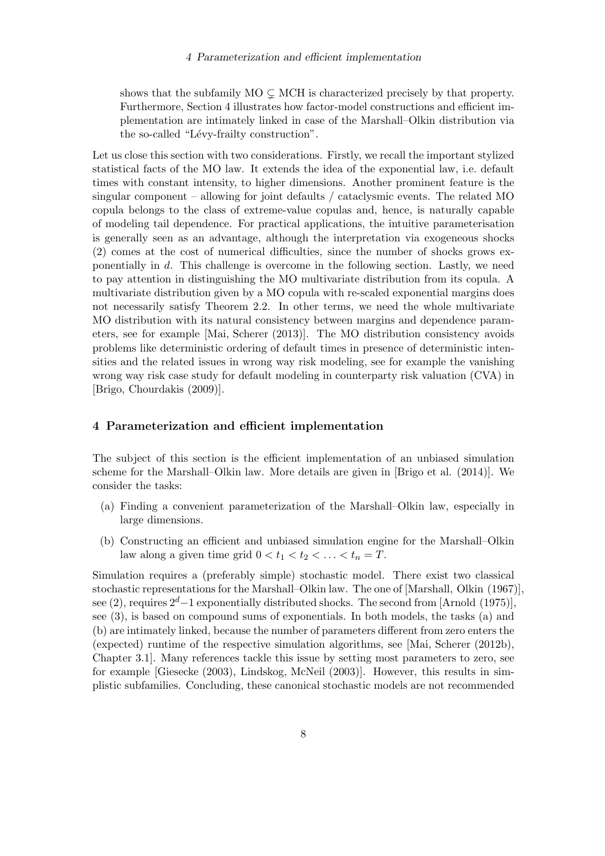shows that the subfamily  $MO \subsetneq MCH$  is characterized precisely by that property. Furthermore, Section [4](#page-7-0) illustrates how factor-model constructions and efficient implementation are intimately linked in case of the Marshall–Olkin distribution via the so-called "Lévy-frailty construction".

Let us close this section with two considerations. Firstly, we recall the important stylized statistical facts of the MO law. It extends the idea of the exponential law, i.e. default times with constant intensity, to higher dimensions. Another prominent feature is the singular component – allowing for joint defaults / cataclysmic events. The related MO copula belongs to the class of extreme-value copulas and, hence, is naturally capable of modeling tail dependence. For practical applications, the intuitive parameterisation is generally seen as an advantage, although the interpretation via exogeneous shocks [\(2\)](#page-2-2) comes at the cost of numerical difficulties, since the number of shocks grows exponentially in d. This challenge is overcome in the following section. Lastly, we need to pay attention in distinguishing the MO multivariate distribution from its copula. A multivariate distribution given by a MO copula with re-scaled exponential margins does not necessarily satisfy Theorem [2.2.](#page-2-1) In other terms, we need the whole multivariate MO distribution with its natural consistency between margins and dependence parameters, see for example [\[Mai, Scherer \(2013\)\]](#page-11-6). The MO distribution consistency avoids problems like deterministic ordering of default times in presence of deterministic intensities and the related issues in wrong way risk modeling, see for example the vanishing wrong way risk case study for default modeling in counterparty risk valuation (CVA) in [\[Brigo, Chourdakis \(2009\)\]](#page-10-8).

# <span id="page-7-0"></span>4 Parameterization and efficient implementation

The subject of this section is the efficient implementation of an unbiased simulation scheme for the Marshall–Olkin law. More details are given in [\[Brigo et al. \(2014\)\]](#page-10-9). We consider the tasks:

- (a) Finding a convenient parameterization of the Marshall–Olkin law, especially in large dimensions.
- (b) Constructing an efficient and unbiased simulation engine for the Marshall–Olkin law along a given time grid  $0 < t_1 < t_2 < \ldots < t_n = T$ .

Simulation requires a (preferably simple) stochastic model. There exist two classical stochastic representations for the Marshall–Olkin law. The one of [\[Marshall, Olkin \(1967\)\]](#page-11-1), see [\(2\)](#page-2-2), requires  $2^d-1$  exponentially distributed shocks. The second from [\[Arnold \(1975\)\]](#page-10-2), see [\(3\)](#page-4-1), is based on compound sums of exponentials. In both models, the tasks (a) and (b) are intimately linked, because the number of parameters different from zero enters the (expected) runtime of the respective simulation algorithms, see [\[Mai, Scherer \(2012b\),](#page-11-7) Chapter 3.1]. Many references tackle this issue by setting most parameters to zero, see for example [\[Giesecke \(2003\),](#page-10-10) [Lindskog, McNeil \(2003\)\]](#page-11-8). However, this results in simplistic subfamilies. Concluding, these canonical stochastic models are not recommended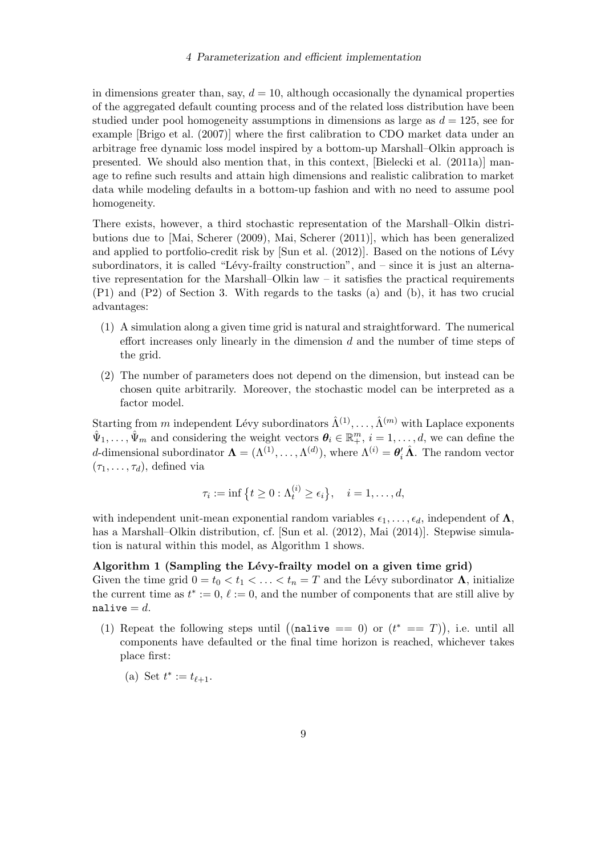#### 4 Parameterization and efficient implementation

in dimensions greater than, say,  $d = 10$ , although occasionally the dynamical properties of the aggregated default counting process and of the related loss distribution have been studied under pool homogeneity assumptions in dimensions as large as  $d = 125$ , see for example [\[Brigo et al. \(2007\)\]](#page-10-11) where the first calibration to CDO market data under an arbitrage free dynamic loss model inspired by a bottom-up Marshall–Olkin approach is presented. We should also mention that, in this context, [\[Bielecki et al. \(2011a\)\]](#page-10-12) manage to refine such results and attain high dimensions and realistic calibration to market data while modeling defaults in a bottom-up fashion and with no need to assume pool homogeneity.

There exists, however, a third stochastic representation of the Marshall–Olkin distributions due to [\[Mai, Scherer \(2009\),](#page-11-9) [Mai, Scherer \(2011\)\]](#page-11-10), which has been generalized and applied to portfolio-credit risk by  $[\text{Sun et al. } (2012)]$ . Based on the notions of Lévy subordinators, it is called "Lévy-frailty construction", and  $-$  since it is just an alternative representation for the Marshall–Olkin law – it satisfies the practical requirements (P1) and (P2) of Section [3.](#page-4-0) With regards to the tasks (a) and (b), it has two crucial advantages:

- (1) A simulation along a given time grid is natural and straightforward. The numerical effort increases only linearly in the dimension  $d$  and the number of time steps of the grid.
- (2) The number of parameters does not depend on the dimension, but instead can be chosen quite arbitrarily. Moreover, the stochastic model can be interpreted as a factor model.

Starting from m independent Lévy subordinators  $\hat{\Lambda}^{(1)}, \ldots, \hat{\Lambda}^{(m)}$  with Laplace exponents  $\hat{\Psi}_1,\ldots,\hat{\Psi}_m$  and considering the weight vectors  $\theta_i \in \mathbb{R}^m_+$ ,  $i = 1,\ldots,d$ , we can define the d-dimensional subordinator  $\mathbf{\Lambda} = (\Lambda^{(1)}, \dots, \Lambda^{(d)})$ , where  $\Lambda^{(i)} = \theta'_i \hat{\Lambda}$ . The random vector  $(\tau_1, \ldots, \tau_d)$ , defined via

<span id="page-8-0"></span>
$$
\tau_i := \inf \left\{ t \geq 0 : \Lambda_t^{(i)} \geq \epsilon_i \right\}, \quad i = 1, \dots, d,
$$

with independent unit-mean exponential random variables  $\epsilon_1, \ldots, \epsilon_d$ , independent of  $\Lambda$ , has a Marshall–Olkin distribution, cf. [\[Sun et al. \(2012\),](#page-11-11) [Mai \(2014\)\]](#page-11-12). Stepwise simulation is natural within this model, as Algorithm [1](#page-8-0) shows.

### Algorithm 1 (Sampling the Lévy-frailty model on a given time grid)

Given the time grid  $0 = t_0 < t_1 < \ldots < t_n = T$  and the Lévy subordinator  $\Lambda$ , initialize the current time as  $t^* := 0$ ,  $\ell := 0$ , and the number of components that are still alive by nalive  $=d$ .

(1) Repeat the following steps until ((nalive == 0) or  $(t^* == T)$ ), i.e. until all components have defaulted or the final time horizon is reached, whichever takes place first:

(a) Set  $t^* := t_{\ell+1}$ .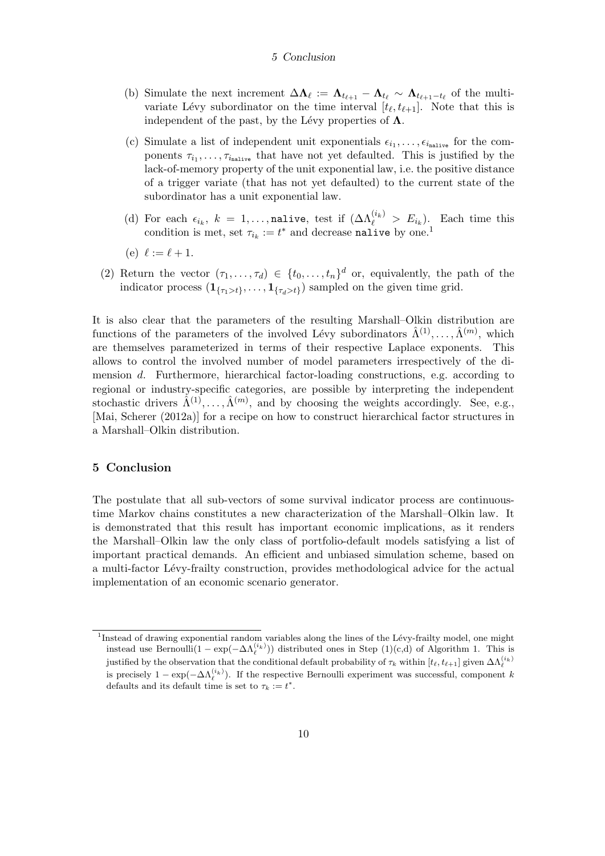#### 5 Conclusion

- (b) Simulate the next increment  $\Delta \Lambda_{\ell} := \Lambda_{t_{\ell+1}} \Lambda_{t_{\ell}} \sim \Lambda_{t_{\ell+1}-t_{\ell}}$  of the multivariate Lévy subordinator on the time interval  $[t_{\ell}, t_{\ell+1}]$ . Note that this is independent of the past, by the Lévy properties of  $\Lambda$ .
- (c) Simulate a list of independent unit exponentials  $\epsilon_{i_1}, \ldots, \epsilon_{i_{\text{nalive}}}$  for the components  $\tau_{i_1}, \ldots, \tau_{i_{\text{nalive}}}$  that have not yet defaulted. This is justified by the lack-of-memory property of the unit exponential law, i.e. the positive distance of a trigger variate (that has not yet defaulted) to the current state of the subordinator has a unit exponential law.
- (d) For each  $\epsilon_{i_k}$ ,  $k = 1, ...,$  nalive, test if  $(\Delta \Lambda_{\ell}^{(i_k)} > E_{i_k})$ . Each time this condition is met, set  $\tau_{i_k} := t^*$  and decrease nalive by one.<sup>[1](#page-9-0)</sup>
- (e)  $\ell := \ell + 1$ .
- (2) Return the vector  $(\tau_1, \ldots, \tau_d) \in \{t_0, \ldots, t_n\}^d$  or, equivalently, the path of the indicator process  $(1_{\{\tau_1 > t\}}, \ldots, 1_{\{\tau_d > t\}})$  sampled on the given time grid.

It is also clear that the parameters of the resulting Marshall–Olkin distribution are functions of the parameters of the involved Lévy subordinators  $\hat{\Lambda}^{(1)}, \ldots, \hat{\Lambda}^{(m)}$ , which are themselves parameterized in terms of their respective Laplace exponents. This allows to control the involved number of model parameters irrespectively of the dimension d. Furthermore, hierarchical factor-loading constructions, e.g. according to regional or industry-specific categories, are possible by interpreting the independent stochastic drivers  $\hat{\Lambda}^{(1)}, \ldots, \hat{\Lambda}^{(m)}$ , and by choosing the weights accordingly. See, e.g., [\[Mai, Scherer \(2012a\)\]](#page-11-13) for a recipe on how to construct hierarchical factor structures in a Marshall–Olkin distribution.

## 5 Conclusion

The postulate that all sub-vectors of some survival indicator process are continuoustime Markov chains constitutes a new characterization of the Marshall–Olkin law. It is demonstrated that this result has important economic implications, as it renders the Marshall–Olkin law the only class of portfolio-default models satisfying a list of important practical demands. An efficient and unbiased simulation scheme, based on a multi-factor L´evy-frailty construction, provides methodological advice for the actual implementation of an economic scenario generator.

<span id="page-9-0"></span><sup>&</sup>lt;sup>1</sup>Instead of drawing exponential random variables along the lines of the Lévy-frailty model, one might instead use Bernoulli $(1 - \exp(-\Delta \Lambda_{\ell}^{(i_k)}))$  distributed ones in Step  $(1)(c,d)$  of Algorithm [1.](#page-8-0) This is justified by the observation that the conditional default probability of  $\tau_k$  within  $[t_\ell, t_{\ell+1}]$  given  $\Delta\Lambda_\ell^{(i_k)}$ is precisely  $1 - \exp(-\Delta \Lambda_{\ell}^{(i_k)})$ . If the respective Bernoulli experiment was successful, component k defaults and its default time is set to  $\tau_k := t^*$ .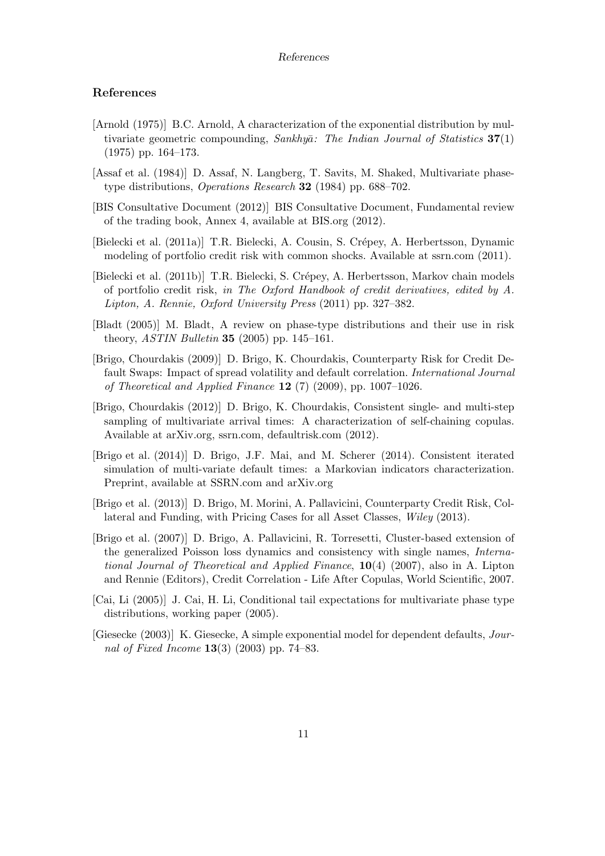#### References

## References

- <span id="page-10-2"></span>[Arnold (1975)] B.C. Arnold, A characterization of the exponential distribution by multivariate geometric compounding, Sankhya: The Indian Journal of Statistics  $37(1)$ (1975) pp. 164–173.
- <span id="page-10-4"></span>[Assaf et al. (1984)] D. Assaf, N. Langberg, T. Savits, M. Shaked, Multivariate phasetype distributions, *Operations Research* **32** (1984) pp. 688–702.
- <span id="page-10-7"></span>[BIS Consultative Document (2012)] BIS Consultative Document, Fundamental review of the trading book, Annex 4, available at BIS.org (2012).
- <span id="page-10-12"></span>[Bielecki et al. (2011a)] T.R. Bielecki, A. Cousin, S. Crépey, A. Herbertsson, Dynamic modeling of portfolio credit risk with common shocks. Available at ssrn.com (2011).
- <span id="page-10-6"></span>[Bielecki et al. (2011b)] T.R. Bielecki, S. Crépey, A. Herbertsson, Markov chain models of portfolio credit risk, in The Oxford Handbook of credit derivatives, edited by A. Lipton, A. Rennie, Oxford University Press (2011) pp. 327–382.
- <span id="page-10-3"></span>[Bladt (2005)] M. Bladt, A review on phase-type distributions and their use in risk theory, *ASTIN Bulletin* **35** (2005) pp. 145–161.
- <span id="page-10-8"></span>[Brigo, Chourdakis (2009)] D. Brigo, K. Chourdakis, Counterparty Risk for Credit Default Swaps: Impact of spread volatility and default correlation. International Journal of Theoretical and Applied Finance  $12(7)(2009)$ , pp. 1007–1026.
- <span id="page-10-1"></span>[Brigo, Chourdakis (2012)] D. Brigo, K. Chourdakis, Consistent single- and multi-step sampling of multivariate arrival times: A characterization of self-chaining copulas. Available at arXiv.org, ssrn.com, defaultrisk.com (2012).
- <span id="page-10-9"></span>[Brigo et al. (2014)] D. Brigo, J.F. Mai, and M. Scherer (2014). Consistent iterated simulation of multi-variate default times: a Markovian indicators characterization. Preprint, available at SSRN.com and arXiv.org
- <span id="page-10-0"></span>[Brigo et al. (2013)] D. Brigo, M. Morini, A. Pallavicini, Counterparty Credit Risk, Collateral and Funding, with Pricing Cases for all Asset Classes, Wiley (2013).
- <span id="page-10-11"></span>[Brigo et al. (2007)] D. Brigo, A. Pallavicini, R. Torresetti, Cluster-based extension of the generalized Poisson loss dynamics and consistency with single names, International Journal of Theoretical and Applied Finance,  $10(4)$  (2007), also in A. Lipton and Rennie (Editors), Credit Correlation - Life After Copulas, World Scientific, 2007.
- <span id="page-10-5"></span>[Cai, Li (2005)] J. Cai, H. Li, Conditional tail expectations for multivariate phase type distributions, working paper (2005).
- <span id="page-10-10"></span>[Giesecke (2003)] K. Giesecke, A simple exponential model for dependent defaults, Journal of Fixed Income  $13(3)$  (2003) pp. 74–83.